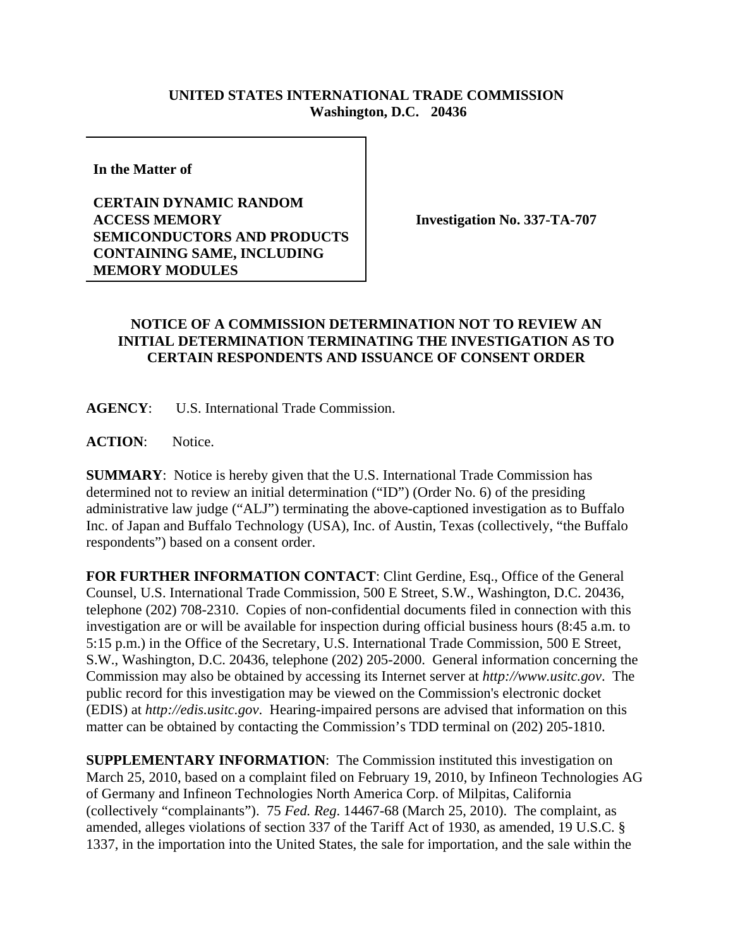## **UNITED STATES INTERNATIONAL TRADE COMMISSION Washington, D.C. 20436**

**In the Matter of** 

## **CERTAIN DYNAMIC RANDOM ACCESS MEMORY SEMICONDUCTORS AND PRODUCTS CONTAINING SAME, INCLUDING MEMORY MODULES**

**Investigation No. 337-TA-707**

## **NOTICE OF A COMMISSION DETERMINATION NOT TO REVIEW AN INITIAL DETERMINATION TERMINATING THE INVESTIGATION AS TO CERTAIN RESPONDENTS AND ISSUANCE OF CONSENT ORDER**

**AGENCY**: U.S. International Trade Commission.

**ACTION**: Notice.

**SUMMARY**: Notice is hereby given that the U.S. International Trade Commission has determined not to review an initial determination ("ID") (Order No. 6) of the presiding administrative law judge ("ALJ") terminating the above-captioned investigation as to Buffalo Inc. of Japan and Buffalo Technology (USA), Inc. of Austin, Texas (collectively, "the Buffalo respondents") based on a consent order.

**FOR FURTHER INFORMATION CONTACT**: Clint Gerdine, Esq., Office of the General Counsel, U.S. International Trade Commission, 500 E Street, S.W., Washington, D.C. 20436, telephone (202) 708-2310. Copies of non-confidential documents filed in connection with this investigation are or will be available for inspection during official business hours (8:45 a.m. to 5:15 p.m.) in the Office of the Secretary, U.S. International Trade Commission, 500 E Street, S.W., Washington, D.C. 20436, telephone (202) 205-2000. General information concerning the Commission may also be obtained by accessing its Internet server at *http://www.usitc.gov*. The public record for this investigation may be viewed on the Commission's electronic docket (EDIS) at *http://edis.usitc.gov*. Hearing-impaired persons are advised that information on this matter can be obtained by contacting the Commission's TDD terminal on (202) 205-1810.

**SUPPLEMENTARY INFORMATION:** The Commission instituted this investigation on March 25, 2010, based on a complaint filed on February 19, 2010, by Infineon Technologies AG of Germany and Infineon Technologies North America Corp. of Milpitas, California (collectively "complainants"). 75 *Fed. Reg*. 14467-68 (March 25, 2010). The complaint, as amended, alleges violations of section 337 of the Tariff Act of 1930, as amended, 19 U.S.C. § 1337, in the importation into the United States, the sale for importation, and the sale within the